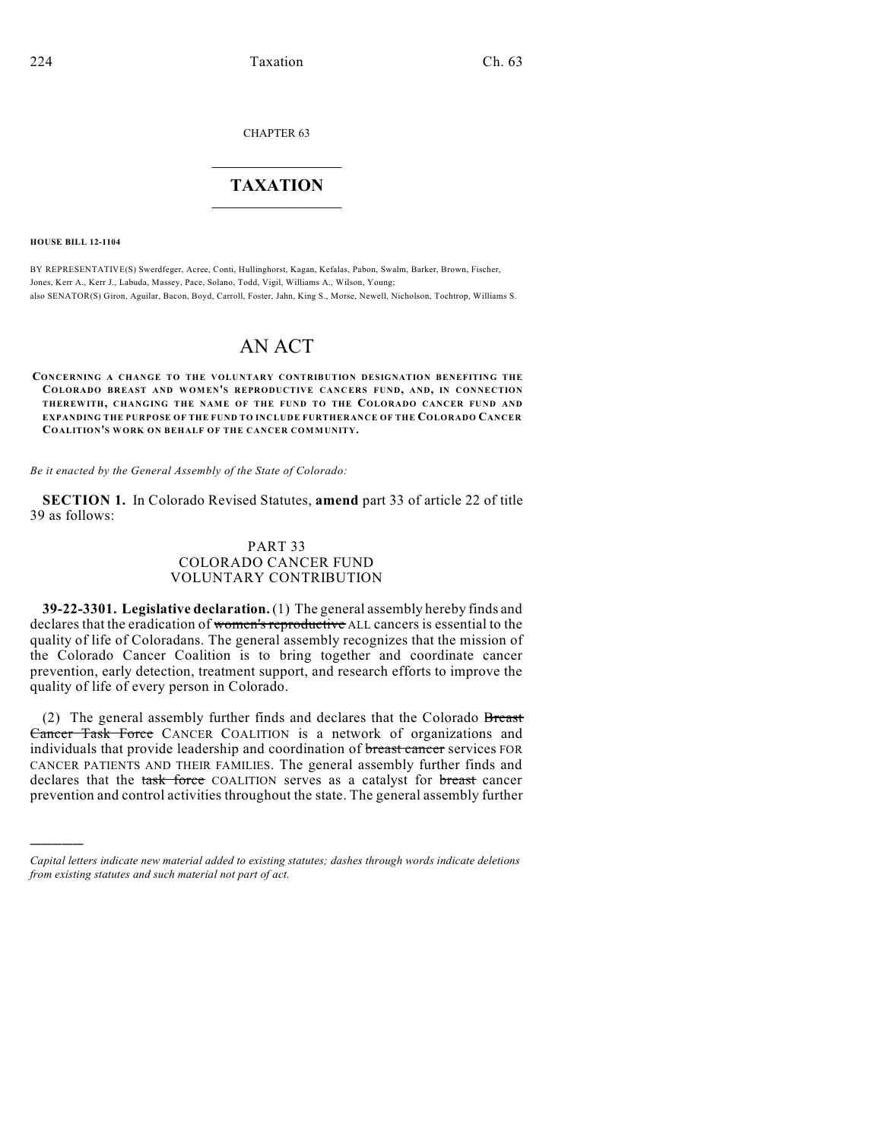CHAPTER 63

## $\mathcal{L}_\text{max}$  . The set of the set of the set of the set of the set of the set of the set of the set of the set of the set of the set of the set of the set of the set of the set of the set of the set of the set of the set **TAXATION**  $\_$

**HOUSE BILL 12-1104**

)))))

BY REPRESENTATIVE(S) Swerdfeger, Acree, Conti, Hullinghorst, Kagan, Kefalas, Pabon, Swalm, Barker, Brown, Fischer, Jones, Kerr A., Kerr J., Labuda, Massey, Pace, Solano, Todd, Vigil, Williams A., Wilson, Young; also SENATOR(S) Giron, Aguilar, Bacon, Boyd, Carroll, Foster, Jahn, King S., Morse, Newell, Nicholson, Tochtrop, Williams S.

## AN ACT

**CONCERNING A CHANGE TO THE VOLUNTARY CONTRIBUTION DESIGNATION BENEFITING THE COLORADO BREAST AND WOMEN'S REPRODUCTIVE CANCERS FUND, AND, IN CONNECTION THEREWITH, CHANGING THE NAME OF THE FUND TO THE COLORADO CANCER FUND AND EXPANDING THE PURPOSE OF THE FUND TO INCLUDE FURTHERANCE OF THE COLORADO CANCER COALITION'S WORK ON BEHALF OF THE CANCER COMMUNITY.**

*Be it enacted by the General Assembly of the State of Colorado:*

**SECTION 1.** In Colorado Revised Statutes, **amend** part 33 of article 22 of title 39 as follows:

## PART 33 COLORADO CANCER FUND VOLUNTARY CONTRIBUTION

**39-22-3301. Legislative declaration.** (1) The general assembly hereby finds and declares that the eradication of women's reproductive ALL cancers is essential to the quality of life of Coloradans. The general assembly recognizes that the mission of the Colorado Cancer Coalition is to bring together and coordinate cancer prevention, early detection, treatment support, and research efforts to improve the quality of life of every person in Colorado.

(2) The general assembly further finds and declares that the Colorado Breast Cancer Task Force CANCER COALITION is a network of organizations and individuals that provide leadership and coordination of breast cancer services FOR CANCER PATIENTS AND THEIR FAMILIES. The general assembly further finds and declares that the task force COALITION serves as a catalyst for breast cancer prevention and control activities throughout the state. The general assembly further

*Capital letters indicate new material added to existing statutes; dashes through words indicate deletions from existing statutes and such material not part of act.*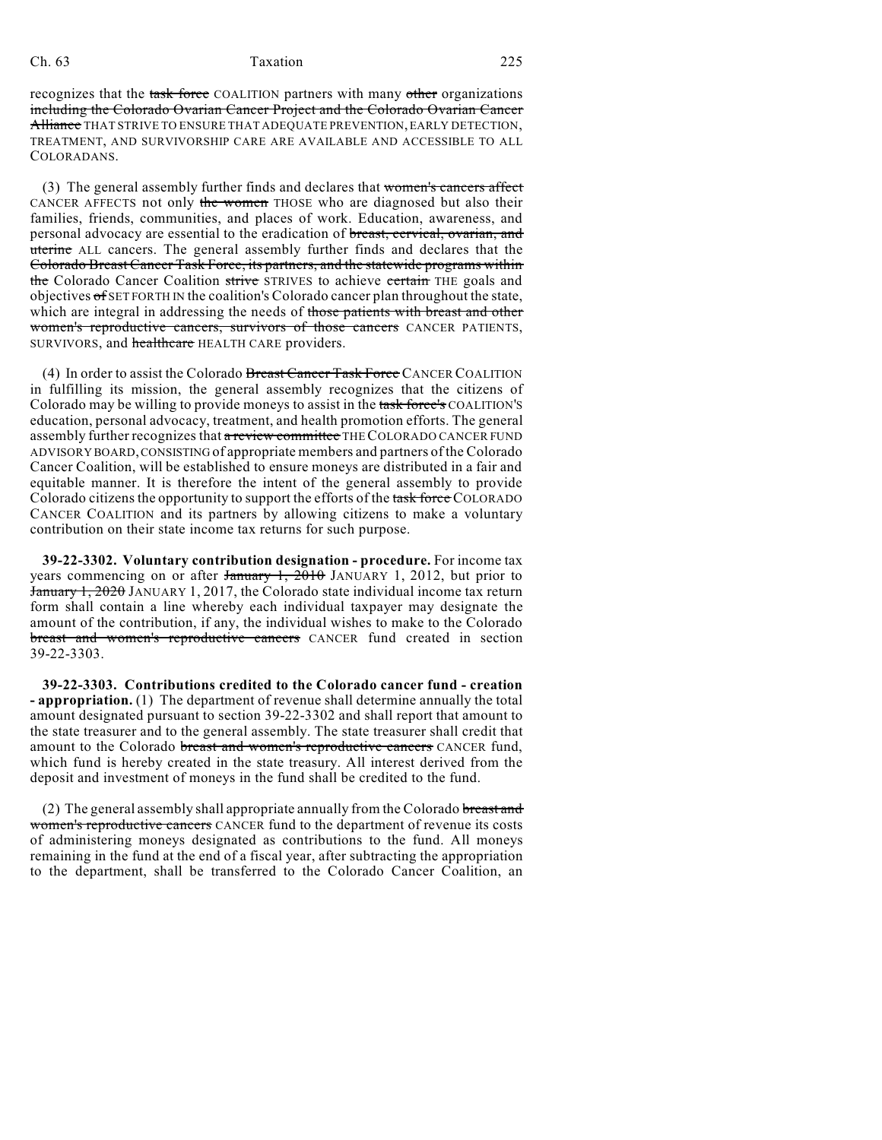## Ch. 63 Taxation 225

recognizes that the task force COALITION partners with many other organizations including the Colorado Ovarian Cancer Project and the Colorado Ovarian Cancer Alliance THAT STRIVE TO ENSURE THAT ADEQUATE PREVENTION, EARLY DETECTION, TREATMENT, AND SURVIVORSHIP CARE ARE AVAILABLE AND ACCESSIBLE TO ALL COLORADANS.

(3) The general assembly further finds and declares that women's cancers affect CANCER AFFECTS not only the women THOSE who are diagnosed but also their families, friends, communities, and places of work. Education, awareness, and personal advocacy are essential to the eradication of breast, cervical, ovarian, and uterine ALL cancers. The general assembly further finds and declares that the Colorado Breast Cancer Task Force, its partners, and the statewide programs within the Colorado Cancer Coalition strive STRIVES to achieve certain THE goals and objectives of SET FORTH IN the coalition's Colorado cancer plan throughout the state, which are integral in addressing the needs of those patients with breast and other women's reproductive cancers, survivors of those cancers CANCER PATIENTS, SURVIVORS, and healthcare HEALTH CARE providers.

(4) In order to assist the Colorado Breast Cancer Task Force CANCER COALITION in fulfilling its mission, the general assembly recognizes that the citizens of Colorado may be willing to provide moneys to assist in the task force's COALITION'S education, personal advocacy, treatment, and health promotion efforts. The general assembly further recognizes that a review committee THE COLORADO CANCER FUND ADVISORY BOARD,CONSISTING of appropriate members and partners of the Colorado Cancer Coalition, will be established to ensure moneys are distributed in a fair and equitable manner. It is therefore the intent of the general assembly to provide Colorado citizens the opportunity to support the efforts of the task force COLORADO CANCER COALITION and its partners by allowing citizens to make a voluntary contribution on their state income tax returns for such purpose.

**39-22-3302. Voluntary contribution designation - procedure.** For income tax years commencing on or after  $\frac{1}{2010}$  JANUARY 1, 2012, but prior to January 1, 2020 JANUARY 1, 2017, the Colorado state individual income tax return form shall contain a line whereby each individual taxpayer may designate the amount of the contribution, if any, the individual wishes to make to the Colorado breast and women's reproductive cancers CANCER fund created in section 39-22-3303.

**39-22-3303. Contributions credited to the Colorado cancer fund - creation - appropriation.** (1) The department of revenue shall determine annually the total amount designated pursuant to section 39-22-3302 and shall report that amount to the state treasurer and to the general assembly. The state treasurer shall credit that amount to the Colorado breast and women's reproductive cancers CANCER fund, which fund is hereby created in the state treasury. All interest derived from the deposit and investment of moneys in the fund shall be credited to the fund.

(2) The general assembly shall appropriate annually from the Colorado breast and women's reproductive cancers CANCER fund to the department of revenue its costs of administering moneys designated as contributions to the fund. All moneys remaining in the fund at the end of a fiscal year, after subtracting the appropriation to the department, shall be transferred to the Colorado Cancer Coalition, an